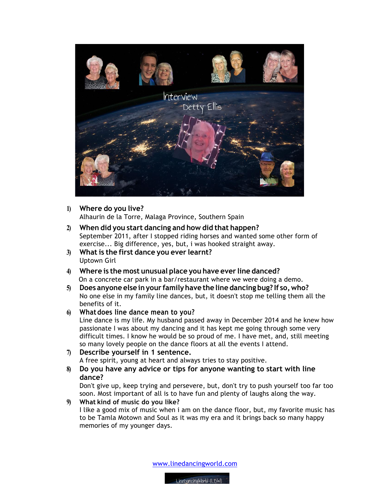

#### **1) Where do you live?**

Alhaurin de la Torre, Malaga Province, Southern Spain

- **2) When did you start dancing and how did that happen?** September 2011, after I stopped riding horses and wanted some other form of exercise... Big difference, yes, but, i was hooked straight away.
- **3) What is the first dance you ever learnt?** Uptown Girl
- **4) Where is the most unusual place you have ever line danced?** On a concrete car park in a bar/restaurant where we were doing a demo.
- **5) Does anyone else inyour familyhave the line dancing bug? If so,who?** No one else in my family line dances, but, it doesn't stop me telling them all the benefits of it.

## **6) Whatdoes line dance mean to you?**

Line dance is my life. My husband passed away in December 2014 and he knew how passionate I was about my dancing and it has kept me going through some very difficult times. I know he would be so proud of me. I have met, and, still meeting so many lovely people on the dance floors at all the events I attend.

## **7) Describe yourself in 1 sentence.**

A free spirit, young at heart and always tries to stay positive.

**8) Do you have any advice or tips for anyone wanting to start with line dance?**

Don't give up, keep trying and persevere, but, don't try to push yourself too far too soon. Most important of all is to have fun and plenty of laughs along the way.

# **9) What kind of music do you like?**

I like a good mix of music when i am on the dance floor, but, my favorite music has to be Tamla Motown and Soul as it was my era and it brings back so many happy memories of my younger days.

www.linedancingworld.com

LineDancingWorld (LDW)